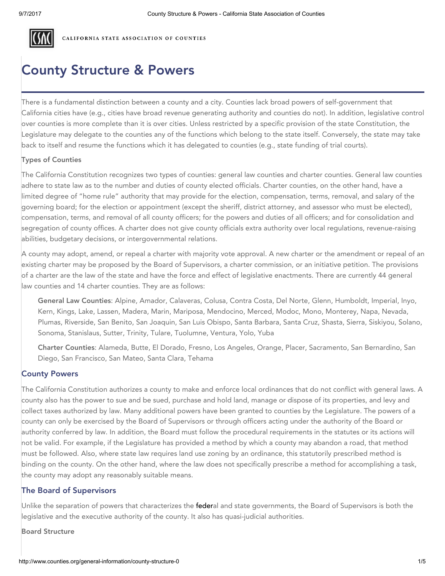

CALIFORNIA STATE ASSOCIATION OF COUNTIES

# County Structure & Powers

There is a fundamental distinction between a county and a city. Counties lack broad powers of self-government that California cities have (e.g., cities have broad revenue generating authority and counties do not). In addition, legislative control over counties is more complete than it is over cities. Unless restricted by a specific provision of the state Constitution, the Legislature may delegate to the counties any of the functions which belong to the state itself. Conversely, the state may take back to itself and resume the functions which it has delegated to counties (e.g., state funding of trial courts).

#### Types of Counties

The California Constitution recognizes two types of counties: general law counties and charter counties. General law counties adhere to state law as to the number and duties of county elected officials. Charter counties, on the other hand, have a limited degree of "home rule" authority that may provide for the election, compensation, terms, removal, and salary of the governing board; for the election or appointment (except the sheriff, district attorney, and assessor who must be elected), compensation, terms, and removal of all county officers; for the powers and duties of all officers; and for consolidation and segregation of county offices. A charter does not give county officials extra authority over local regulations, revenue-raising abilities, budgetary decisions, or intergovernmental relations.

A county may adopt, amend, or repeal a charter with majority vote approval. A new charter or the amendment or repeal of an existing charter may be proposed by the Board of Supervisors, a charter commission, or an initiative petition. The provisions of a charter are the law of the state and have the force and effect of legislative enactments. There are currently 44 general law counties and 14 charter counties. They are as follows:

General Law Counties: Alpine, Amador, Calaveras, Colusa, Contra Costa, Del Norte, Glenn, Humboldt, Imperial, Inyo, Kern, Kings, Lake, Lassen, Madera, Marin, Mariposa, Mendocino, Merced, Modoc, Mono, Monterey, Napa, Nevada, Plumas, Riverside, San Benito, San Joaquin, San Luis Obispo, Santa Barbara, Santa Cruz, Shasta, Sierra, Siskiyou, Solano, Sonoma, Stanislaus, Sutter, Trinity, Tulare, Tuolumne, Ventura, Yolo, Yuba

Charter Counties: Alameda, Butte, El Dorado, Fresno, Los Angeles, Orange, Placer, Sacramento, San Bernardino, San Diego, San Francisco, San Mateo, Santa Clara, Tehama

## County Powers

The California Constitution authorizes a county to make and enforce local ordinances that do not conflict with general laws. A county also has the power to sue and be sued, purchase and hold land, manage or dispose of its properties, and levy and collect taxes authorized by law. Many additional powers have been granted to counties by the Legislature. The powers of a county can only be exercised by the Board of Supervisors or through officers acting under the authority of the Board or authority conferred by law. In addition, the Board must follow the procedural requirements in the statutes or its actions will not be valid. For example, if the Legislature has provided a method by which a county may abandon a road, that method must be followed. Also, where state law requires land use zoning by an ordinance, this statutorily prescribed method is binding on the county. On the other hand, where the law does not specifically prescribe a method for accomplishing a task, the county may adopt any reasonably suitable means.

# The Board of Supervisors

Unlike the separation of powers that characterizes the federal and state governments, the Board of Supervisors is both the legislative and the executive authority of the county. It also has quasi-judicial authorities.

Board Structure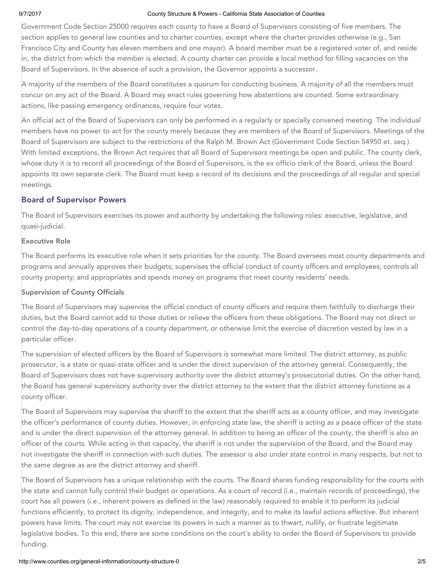#### 9/7/2017 County Structure & Powers - California State Association of Counties

Government Code Section 25000 requires each county to have a Board of Supervisors consisting of five members. The section applies to general law counties and to charter counties, except where the charter provides otherwise (e.g., San Francisco City and County has eleven members and one mayor). A board member must be a registered voter of, and reside in, the district from which the member is elected. A county charter can provide a local method for filling vacancies on the Board of Supervisors. In the absence of such a provision, the Governor appoints a successor.

A majority of the members of the Board constitutes a quorum for conducting business. A majority of all the members must concur on any act of the Board. A Board may enact rules governing how abstentions are counted. Some extraordinary actions, like passing emergency ordinances, require four votes.

An official act of the Board of Supervisors can only be performed in a regularly or specially convened meeting. The individual members have no power to act for the county merely because they are members of the Board of Supervisors. Meetings of the Board of Supervisors are subject to the restrictions of the Ralph M. Brown Act (Government Code Section 54950 et. seq.). With limited exceptions, the Brown Act requires that all Board of Supervisors meetings be open and public. The county clerk, whose duty it is to record all proceedings of the Board of Supervisors, is the ex officio clerk of the Board, unless the Board appoints its own separate clerk. The Board must keep a record of its decisions and the proceedings of all regular and special meetings.

# Board of Supervisor Powers

The Board of Supervisors exercises its power and authority by undertaking the following roles: executive, legislative, and quasi-judicial.

## Executive Role

The Board performs its executive role when it sets priorities for the county. The Board oversees most county departments and programs and annually approves their budgets; supervises the official conduct of county officers and employees; controls all county property; and appropriates and spends money on programs that meet county residents' needs.

#### Supervision of County Officials

The Board of Supervisors may supervise the official conduct of county officers and require them faithfully to discharge their duties, but the Board cannot add to those duties or relieve the officers from these obligations. The Board may not direct or control the day-to-day operations of a county department, or otherwise limit the exercise of discretion vested by law in a particular officer.

The supervision of elected officers by the Board of Supervisors is somewhat more limited. The district attorney, as public prosecutor, is a state or quasi-state officer and is under the direct supervision of the attorney general. Consequently, the Board of Supervisors does not have supervisory authority over the district attorney's prosecutorial duties. On the other hand, the Board has general supervisory authority over the district attorney to the extent that the district attorney functions as a county officer.

The Board of Supervisors may supervise the sheriff to the extent that the sheriff acts as a county officer, and may investigate the officer's performance of county duties. However, in enforcing state law, the sheriff is acting as a peace officer of the state and is under the direct supervision of the attorney general. In addition to being an officer of the county, the sheriff is also an officer of the courts. While acting in that capacity, the sheriff is not under the supervision of the Board, and the Board may not investigate the sheriff in connection with such duties. The assessor is also under state control in many respects, but not to the same degree as are the district attorney and sheriff.

The Board of Supervisors has a unique relationship with the courts. The Board shares funding responsibility for the courts with the state and cannot fully control their budget or operations. As a court of record (i.e., maintain records of proceedings), the court has all powers (i.e., inherent powers as defined in the law) reasonably required to enable it to perform its judicial functions efficiently, to protect its dignity, independence, and integrity, and to make its lawful actions effective. But inherent powers have limits. The court may not exercise its powers in such a manner as to thwart, nullify, or frustrate legitimate legislative bodies. To this end, there are some conditions on the court's ability to order the Board of Supervisors to provide funding.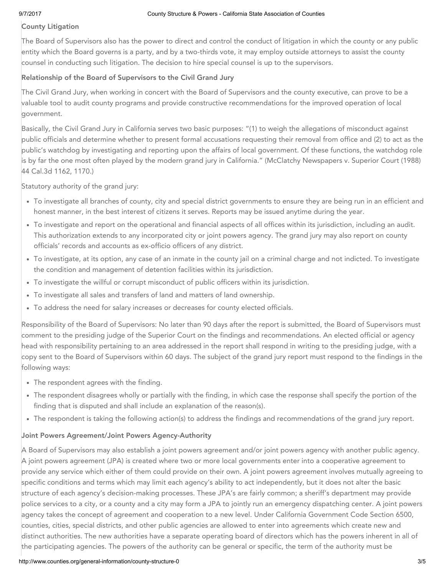### County Litigation

The Board of Supervisors also has the power to direct and control the conduct of litigation in which the county or any public entity which the Board governs is a party, and by a two-thirds vote, it may employ outside attorneys to assist the county counsel in conducting such litigation. The decision to hire special counsel is up to the supervisors.

## Relationship of the Board of Supervisors to the Civil Grand Jury

The Civil Grand Jury, when working in concert with the Board of Supervisors and the county executive, can prove to be a valuable tool to audit county programs and provide constructive recommendations for the improved operation of local government.

Basically, the Civil Grand Jury in California serves two basic purposes: "(1) to weigh the allegations of misconduct against public officials and determine whether to present formal accusations requesting their removal from office and (2) to act as the public's watchdog by investigating and reporting upon the affairs of local government. Of these functions, the watchdog role is by far the one most often played by the modern grand jury in California." (McClatchy Newspapers v. Superior Court (1988) 44 Cal.3d 1162, 1170.)

Statutory authority of the grand jury:

- To investigate all branches of county, city and special district governments to ensure they are being run in an efficient and honest manner, in the best interest of citizens it serves. Reports may be issued anytime during the year.
- To investigate and report on the operational and financial aspects of all offices within its jurisdiction, including an audit. This authorization extends to any incorporated city or joint powers agency. The grand jury may also report on county officials' records and accounts as ex-officio officers of any district.
- To investigate, at its option, any case of an inmate in the county jail on a criminal charge and not indicted. To investigate the condition and management of detention facilities within its jurisdiction.
- To investigate the willful or corrupt misconduct of public officers within its jurisdiction.
- To investigate all sales and transfers of land and matters of land ownership.
- To address the need for salary increases or decreases for county elected officials.

Responsibility of the Board of Supervisors: No later than 90 days after the report is submitted, the Board of Supervisors must comment to the presiding judge of the Superior Court on the findings and recommendations. An elected official or agency head with responsibility pertaining to an area addressed in the report shall respond in writing to the presiding judge, with a copy sent to the Board of Supervisors within 60 days. The subject of the grand jury report must respond to the findings in the following ways:

- The respondent agrees with the finding.
- The respondent disagrees wholly or partially with the finding, in which case the response shall specify the portion of the finding that is disputed and shall include an explanation of the reason(s).
- The respondent is taking the following action(s) to address the findings and recommendations of the grand jury report.

#### Joint Powers Agreement/Joint Powers Agency-Authority

A Board of Supervisors may also establish a joint powers agreement and/or joint powers agency with another public agency. A joint powers agreement (JPA) is created where two or more local governments enter into a cooperative agreement to provide any service which either of them could provide on their own. A joint powers agreement involves mutually agreeing to specific conditions and terms which may limit each agency's ability to act independently, but it does not alter the basic structure of each agency's decision-making processes. These JPA's are fairly common; a sheriff's department may provide police services to a city, or a county and a city may form a JPA to jointly run an emergency dispatching center. A joint powers agency takes the concept of agreement and cooperation to a new level. Under California Government Code Section 6500, counties, cities, special districts, and other public agencies are allowed to enter into agreements which create new and distinct authorities. The new authorities have a separate operating board of directors which has the powers inherent in all of the participating agencies. The powers of the authority can be general or specific, the term of the authority must be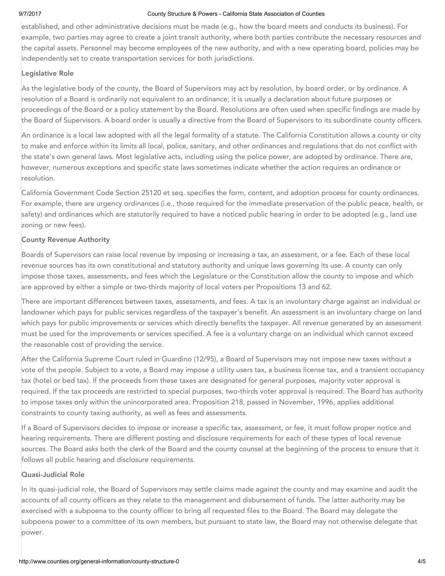#### 9/7/2017 County Structure & Powers - California State Association of Counties

established, and other administrative decisions must be made (e.g., how the board meets and conducts its business). For example, two parties may agree to create a joint transit authority, where both parties contribute the necessary resources and the capital assets. Personnel may become employees of the new authority, and with a new operating board, policies may be independently set to create transportation services for both jurisdictions.

#### Legislative Role

As the legislative body of the county, the Board of Supervisors may act by resolution, by board order, or by ordinance. A resolution of a Board is ordinarily not equivalent to an ordinance; it is usually a declaration about future purposes or proceedings of the Board or a policy statement by the Board. Resolutions are often used when specific findings are made by the Board of Supervisors. A board order is usually a directive from the Board of Supervisors to its subordinate county officers.

An ordinance is a local law adopted with all the legal formality of a statute. The California Constitution allows a county or city to make and enforce within its limits all local, police, sanitary, and other ordinances and regulations that do not conflict with the state's own general laws. Most legislative acts, including using the police power, are adopted by ordinance. There are, however, numerous exceptions and specific state laws sometimes indicate whether the action requires an ordinance or resolution.

California Government Code Section 25120 et seq. specifies the form, content, and adoption process for county ordinances. For example, there are urgency ordinances (i.e., those required for the immediate preservation of the public peace, health, or safety) and ordinances which are statutorily required to have a noticed public hearing in order to be adopted (e.g., land use zoning or new fees).

#### County Revenue Authority

Boards of Supervisors can raise local revenue by imposing or increasing a tax, an assessment, or a fee. Each of these local revenue sources has its own constitutional and statutory authority and unique laws governing its use. A county can only impose those taxes, assessments, and fees which the Legislature or the Constitution allow the county to impose and which are approved by either a simple or two-thirds majority of local voters per Propositions 13 and 62.

There are important differences between taxes, assessments, and fees. A tax is an involuntary charge against an individual or landowner which pays for public services regardless of the taxpayer's benefit. An assessment is an involuntary charge on land which pays for public improvements or services which directly benefits the taxpayer. All revenue generated by an assessment must be used for the improvements or services specified. A fee is a voluntary charge on an individual which cannot exceed the reasonable cost of providing the service.

After the California Supreme Court ruled in Guardino (12/95), a Board of Supervisors may not impose new taxes without a vote of the people. Subject to a vote, a Board may impose a utility users tax, a business license tax, and a transient occupancy tax (hotel or bed tax). If the proceeds from these taxes are designated for general purposes, majority voter approval is required. If the tax proceeds are restricted to special purposes, two-thirds voter approval is required. The Board has authority to impose taxes only within the unincorporated area. Proposition 218, passed in November, 1996, applies additional constraints to county taxing authority, as well as fees and assessments.

If a Board of Supervisors decides to impose or increase a specific tax, assessment, or fee, it must follow proper notice and hearing requirements. There are different posting and disclosure requirements for each of these types of local revenue sources. The Board asks both the clerk of the Board and the county counsel at the beginning of the process to ensure that it follows all public hearing and disclosure requirements.

#### Quasi-Judicial Role

In its quasi-judicial role, the Board of Supervisors may settle claims made against the county and may examine and audit the accounts of all county officers as they relate to the management and disbursement of funds. The latter authority may be exercised with a subpoena to the county officer to bring all requested files to the Board. The Board may delegate the subpoena power to a committee of its own members, but pursuant to state law, the Board may not otherwise delegate that power.